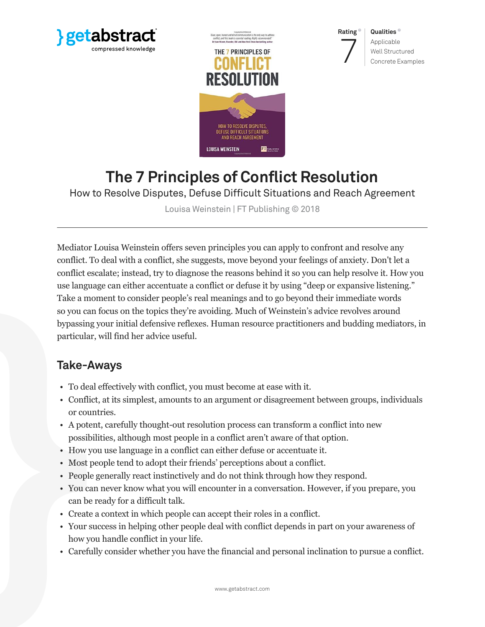





**Qualities** Applicable Well Structured Concrete Examples

# **The 7 Principles of Conflict Resolution**

How to Resolve Disputes, Defuse Difficult Situations and Reach Agreement

Louisa Weinstein | FT Publishing © 2018

Mediator Louisa Weinstein offers seven principles you can apply to confront and resolve any conflict. To deal with a conflict, she suggests, move beyond your feelings of anxiety. Don't let a conflict escalate; instead, try to diagnose the reasons behind it so you can help resolve it. How you use language can either accentuate a conflict or defuse it by using "deep or expansive listening." Take a moment to consider people's real meanings and to go beyond their immediate words so you can focus on the topics they're avoiding. Much of Weinstein's advice revolves around bypassing your initial defensive reflexes. Human resource practitioners and budding mediators, in particular, will find her advice useful.

# **Take-Aways**

- To deal effectively with conflict, you must become at ease with it.
- Conflict, at its simplest, amounts to an argument or disagreement between groups, individuals or countries.
- A potent, carefully thought-out resolution process can transform a conflict into new possibilities, although most people in a conflict aren't aware of that option.
- How you use language in a conflict can either defuse or accentuate it.
- Most people tend to adopt their friends' perceptions about a conflict.
- People generally react instinctively and do not think through how they respond.
- You can never know what you will encounter in a conversation. However, if you prepare, you can be ready for a difficult talk.
- Create a context in which people can accept their roles in a conflict.
- Your success in helping other people deal with conflict depends in part on your awareness of how you handle conflict in your life.
- Carefully consider whether you have the financial and personal inclination to pursue a conflict.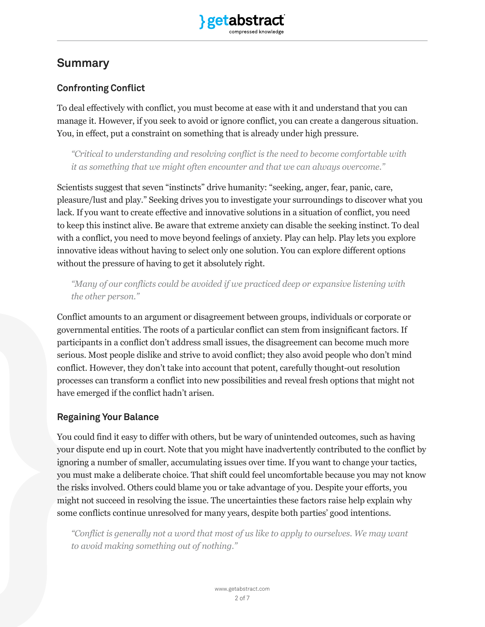# **Summary**

# **Confronting Conflict**

To deal effectively with conflict, you must become at ease with it and understand that you can manage it. However, if you seek to avoid or ignore conflict, you can create a dangerous situation. You, in effect, put a constraint on something that is already under high pressure.

*"Critical to understanding and resolving conflict is the need to become comfortable with it as something that we might often encounter and that we can always overcome."*

Scientists suggest that seven "instincts" drive humanity: "seeking, anger, fear, panic, care, pleasure/lust and play." Seeking drives you to investigate your surroundings to discover what you lack. If you want to create effective and innovative solutions in a situation of conflict, you need to keep this instinct alive. Be aware that extreme anxiety can disable the seeking instinct. To deal with a conflict, you need to move beyond feelings of anxiety. Play can help. Play lets you explore innovative ideas without having to select only one solution. You can explore different options without the pressure of having to get it absolutely right.

*"Many of our conflicts could be avoided if we practiced deep or expansive listening with the other person."*

Conflict amounts to an argument or disagreement between groups, individuals or corporate or governmental entities. The roots of a particular conflict can stem from insignificant factors. If participants in a conflict don't address small issues, the disagreement can become much more serious. Most people dislike and strive to avoid conflict; they also avoid people who don't mind conflict. However, they don't take into account that potent, carefully thought-out resolution processes can transform a conflict into new possibilities and reveal fresh options that might not have emerged if the conflict hadn't arisen.

## **Regaining Your Balance**

You could find it easy to differ with others, but be wary of unintended outcomes, such as having your dispute end up in court. Note that you might have inadvertently contributed to the conflict by ignoring a number of smaller, accumulating issues over time. If you want to change your tactics, you must make a deliberate choice. That shift could feel uncomfortable because you may not know the risks involved. Others could blame you or take advantage of you. Despite your efforts, you might not succeed in resolving the issue. The uncertainties these factors raise help explain why some conflicts continue unresolved for many years, despite both parties' good intentions.

*"Conflict is generally not a word that most of us like to apply to ourselves. We may want to avoid making something out of nothing."*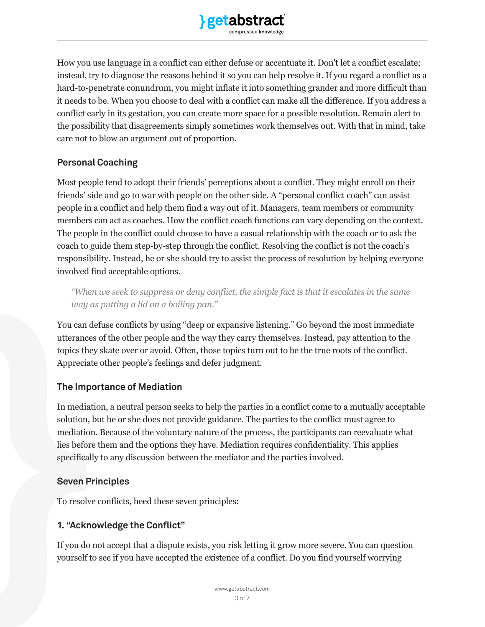

How you use language in a conflict can either defuse or accentuate it. Don't let a conflict escalate; instead, try to diagnose the reasons behind it so you can help resolve it. If you regard a conflict as a hard-to-penetrate conundrum, you might inflate it into something grander and more difficult than it needs to be. When you choose to deal with a conflict can make all the difference. If you address a conflict early in its gestation, you can create more space for a possible resolution. Remain alert to the possibility that disagreements simply sometimes work themselves out. With that in mind, take care not to blow an argument out of proportion.

#### **Personal Coaching**

Most people tend to adopt their friends' perceptions about a conflict. They might enroll on their friends' side and go to war with people on the other side. A "personal conflict coach" can assist people in a conflict and help them find a way out of it. Managers, team members or community members can act as coaches. How the conflict coach functions can vary depending on the context. The people in the conflict could choose to have a casual relationship with the coach or to ask the coach to guide them step-by-step through the conflict. Resolving the conflict is not the coach's responsibility. Instead, he or she should try to assist the process of resolution by helping everyone involved find acceptable options.

*"When we seek to suppress or deny conflict, the simple fact is that it escalates in the same way as putting a lid on a boiling pan."*

You can defuse conflicts by using "deep or expansive listening." Go beyond the most immediate utterances of the other people and the way they carry themselves. Instead, pay attention to the topics they skate over or avoid. Often, those topics turn out to be the true roots of the conflict. Appreciate other people's feelings and defer judgment.

## **The Importance of Mediation**

In mediation, a neutral person seeks to help the parties in a conflict come to a mutually acceptable solution, but he or she does not provide guidance. The parties to the conflict must agree to mediation. Because of the voluntary nature of the process, the participants can reevaluate what lies before them and the options they have. Mediation requires confidentiality. This applies specifically to any discussion between the mediator and the parties involved.

#### **Seven Principles**

To resolve conflicts, heed these seven principles:

## **1. "Acknowledge the Conflict"**

If you do not accept that a dispute exists, you risk letting it grow more severe. You can question yourself to see if you have accepted the existence of a conflict. Do you find yourself worrying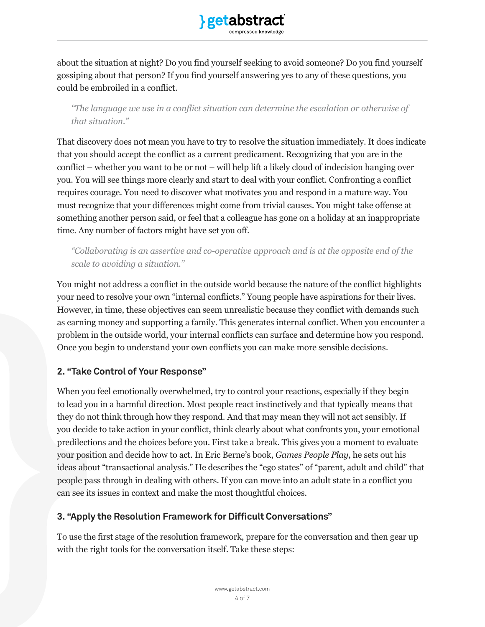

about the situation at night? Do you find yourself seeking to avoid someone? Do you find yourself gossiping about that person? If you find yourself answering yes to any of these questions, you could be embroiled in a conflict.

*"The language we use in a conflict situation can determine the escalation or otherwise of that situation."*

That discovery does not mean you have to try to resolve the situation immediately. It does indicate that you should accept the conflict as a current predicament. Recognizing that you are in the conflict – whether you want to be or not – will help lift a likely cloud of indecision hanging over you. You will see things more clearly and start to deal with your conflict. Confronting a conflict requires courage. You need to discover what motivates you and respond in a mature way. You must recognize that your differences might come from trivial causes. You might take offense at something another person said, or feel that a colleague has gone on a holiday at an inappropriate time. Any number of factors might have set you off.

*"Collaborating is an assertive and co-operative approach and is at the opposite end of the scale to avoiding a situation."* 

You might not address a conflict in the outside world because the nature of the conflict highlights your need to resolve your own "internal conflicts." Young people have aspirations for their lives. However, in time, these objectives can seem unrealistic because they conflict with demands such as earning money and supporting a family. This generates internal conflict. When you encounter a problem in the outside world, your internal conflicts can surface and determine how you respond. Once you begin to understand your own conflicts you can make more sensible decisions.

## **2. "Take Control of Your Response"**

When you feel emotionally overwhelmed, try to control your reactions, especially if they begin to lead you in a harmful direction. Most people react instinctively and that typically means that they do not think through how they respond. And that may mean they will not act sensibly. If you decide to take action in your conflict, think clearly about what confronts you, your emotional predilections and the choices before you. First take a break. This gives you a moment to evaluate your position and decide how to act. In Eric Berne's book, *Games People Play*, he sets out his ideas about "transactional analysis." He describes the "ego states" of "parent, adult and child" that people pass through in dealing with others. If you can move into an adult state in a conflict you can see its issues in context and make the most thoughtful choices.

#### **3. "Apply the Resolution Framework for Difficult Conversations"**

To use the first stage of the resolution framework, prepare for the conversation and then gear up with the right tools for the conversation itself. Take these steps: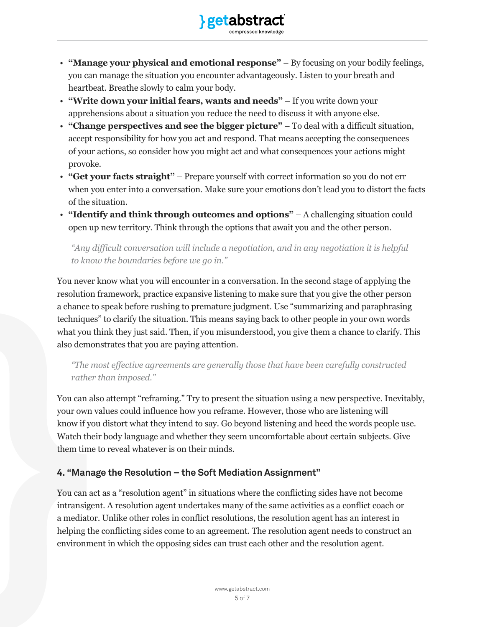

- **"Manage your physical and emotional response"**  By focusing on your bodily feelings, you can manage the situation you encounter advantageously. Listen to your breath and heartbeat. Breathe slowly to calm your body.
- **"Write down your initial fears, wants and needs"** If you write down your apprehensions about a situation you reduce the need to discuss it with anyone else.
- **"Change perspectives and see the bigger picture"**  To deal with a difficult situation, accept responsibility for how you act and respond. That means accepting the consequences of your actions, so consider how you might act and what consequences your actions might provoke.
- **"Get your facts straight"**  Prepare yourself with correct information so you do not err when you enter into a conversation. Make sure your emotions don't lead you to distort the facts of the situation.
- **"Identify and think through outcomes and options"**  A challenging situation could open up new territory. Think through the options that await you and the other person.

*"Any difficult conversation will include a negotiation, and in any negotiation it is helpful to know the boundaries before we go in."*

You never know what you will encounter in a conversation. In the second stage of applying the resolution framework, practice expansive listening to make sure that you give the other person a chance to speak before rushing to premature judgment. Use "summarizing and paraphrasing techniques" to clarify the situation. This means saying back to other people in your own words what you think they just said. Then, if you misunderstood, you give them a chance to clarify. This also demonstrates that you are paying attention.

*"The most effective agreements are generally those that have been carefully constructed rather than imposed."* 

You can also attempt "reframing." Try to present the situation using a new perspective. Inevitably, your own values could influence how you reframe. However, those who are listening will know if you distort what they intend to say. Go beyond listening and heed the words people use. Watch their body language and whether they seem uncomfortable about certain subjects. Give them time to reveal whatever is on their minds.

# **4. "Manage the Resolution – the Soft Mediation Assignment"**

You can act as a "resolution agent" in situations where the conflicting sides have not become intransigent. A resolution agent undertakes many of the same activities as a conflict coach or a mediator. Unlike other roles in conflict resolutions, the resolution agent has an interest in helping the conflicting sides come to an agreement. The resolution agent needs to construct an environment in which the opposing sides can trust each other and the resolution agent.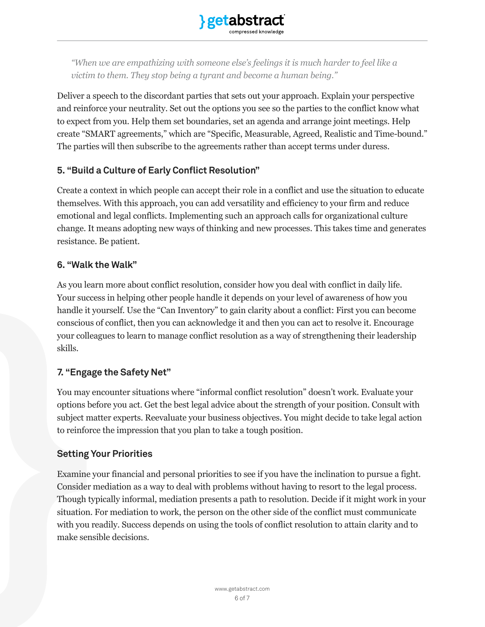

*"When we are empathizing with someone else's feelings it is much harder to feel like a victim to them. They stop being a tyrant and become a human being."*

Deliver a speech to the discordant parties that sets out your approach. Explain your perspective and reinforce your neutrality. Set out the options you see so the parties to the conflict know what to expect from you. Help them set boundaries, set an agenda and arrange joint meetings. Help create "SMART agreements," which are "Specific, Measurable, Agreed, Realistic and Time-bound." The parties will then subscribe to the agreements rather than accept terms under duress.

#### **5. "Build a Culture of Early Conflict Resolution"**

Create a context in which people can accept their role in a conflict and use the situation to educate themselves. With this approach, you can add versatility and efficiency to your firm and reduce emotional and legal conflicts. Implementing such an approach calls for organizational culture change. It means adopting new ways of thinking and new processes. This takes time and generates resistance. Be patient.

#### **6. "Walk the Walk"**

As you learn more about conflict resolution, consider how you deal with conflict in daily life. Your success in helping other people handle it depends on your level of awareness of how you handle it yourself. Use the "Can Inventory" to gain clarity about a conflict: First you can become conscious of conflict, then you can acknowledge it and then you can act to resolve it. Encourage your colleagues to learn to manage conflict resolution as a way of strengthening their leadership skills.

## **7. "Engage the Safety Net"**

You may encounter situations where "informal conflict resolution" doesn't work. Evaluate your options before you act. Get the best legal advice about the strength of your position. Consult with subject matter experts. Reevaluate your business objectives. You might decide to take legal action to reinforce the impression that you plan to take a tough position.

#### **Setting Your Priorities**

Examine your financial and personal priorities to see if you have the inclination to pursue a fight. Consider mediation as a way to deal with problems without having to resort to the legal process. Though typically informal, mediation presents a path to resolution. Decide if it might work in your situation. For mediation to work, the person on the other side of the conflict must communicate with you readily. Success depends on using the tools of conflict resolution to attain clarity and to make sensible decisions.